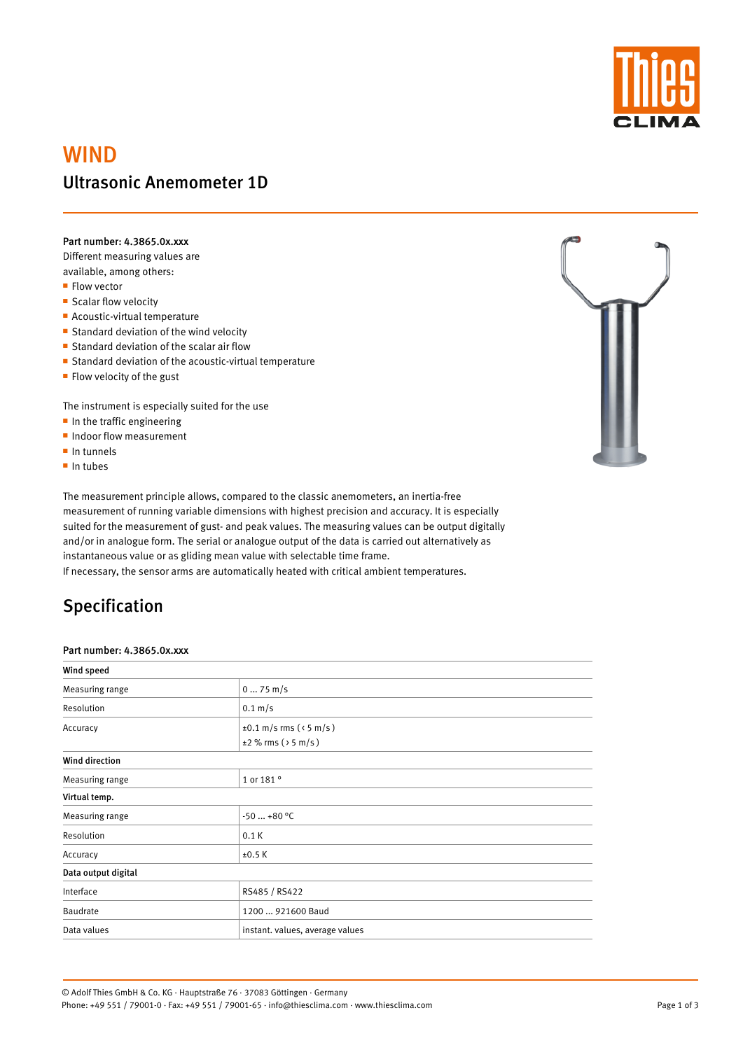

# WIND Ultrasonic Anemometer 1D

Part number: 4.3865.0x.xxx

Different measuring values are available, among others:

- **Flow vector**
- **Scalar flow velocity**
- **Acoustic-virtual temperature**
- **Standard deviation of the wind velocity**
- **Standard deviation of the scalar air flow**
- **Standard deviation of the acoustic-virtual temperature**
- $\blacksquare$  Flow velocity of the gust

The instrument is especially suited for the use

- $\blacksquare$  In the traffic engineering
- **Indoor flow measurement**
- $\blacksquare$  In tunnels
- $\blacksquare$  In tubes

The measurement principle allows, compared to the classic anemometers, an inertia-free measurement of running variable dimensions with highest precision and accuracy. It is especially suited for the measurement of gust- and peak values. The measuring values can be output digitally and/or in analogue form. The serial or analogue output of the data is carried out alternatively as instantaneous value or as gliding mean value with selectable time frame.

If necessary, the sensor arms are automatically heated with critical ambient temperatures.

## Specification

#### Part number: 4.3865.0x.xxx

| Wind speed            |                                  |  |  |  |
|-----------------------|----------------------------------|--|--|--|
| Measuring range       | $075$ m/s                        |  |  |  |
| Resolution            | $0.1 \text{ m/s}$                |  |  |  |
| Accuracy              | $\pm 0.1$ m/s rms ( $\le$ 5 m/s) |  |  |  |
|                       | $\pm 2\%$ rms ( $>$ 5 m/s )      |  |  |  |
| <b>Wind direction</b> |                                  |  |  |  |
| Measuring range       | 1 or 181 °                       |  |  |  |



#### Virtual temp.

| Measuring range     | $-50+80$ °C                     |  |  |
|---------------------|---------------------------------|--|--|
| Resolution          | 0.1K                            |  |  |
| Accuracy            | ±0.5K                           |  |  |
| Data output digital |                                 |  |  |
| Interface           | RS485 / RS422                   |  |  |
| Baudrate            | 1200  921600 Baud               |  |  |
| Data values         | instant. values, average values |  |  |

© Adolf Thies GmbH & Co. KG · Hauptstraße 76 · 37083 Göttingen · Germany Phone: +49 551 / 79001-0 · Fax: +49 551 / 79001-65 · info@thiesclima.com · www.thiesclima.com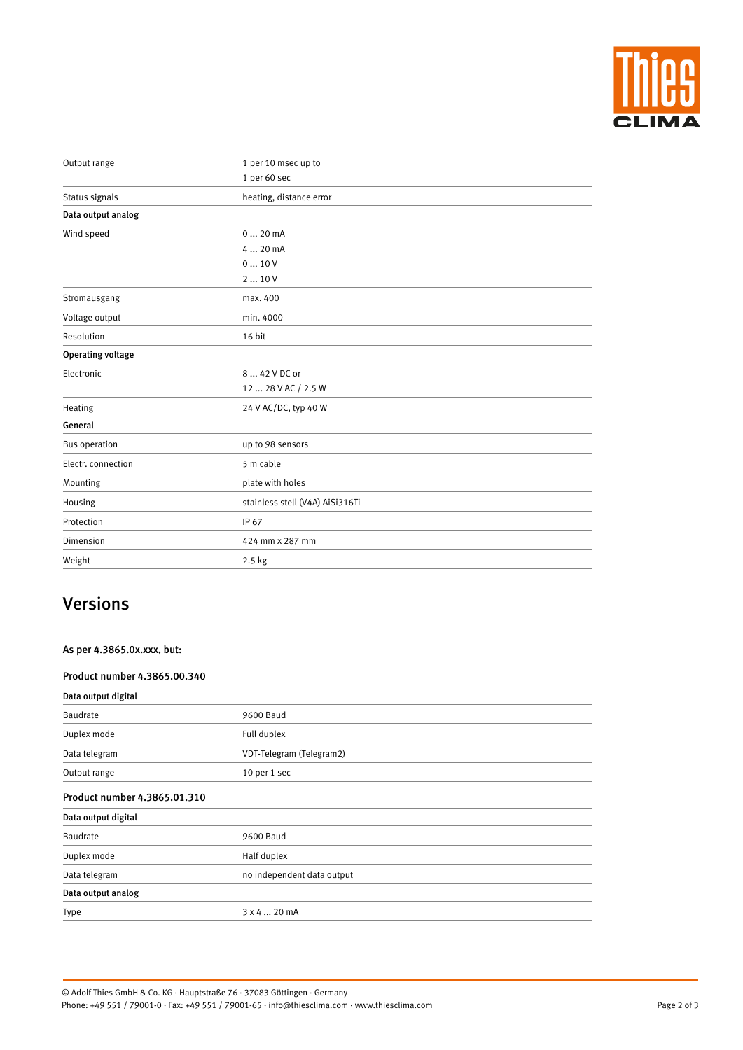

| Output range             | 1 per 10 msec up to             |  |  |  |
|--------------------------|---------------------------------|--|--|--|
|                          | 1 per 60 sec                    |  |  |  |
| Status signals           | heating, distance error         |  |  |  |
| Data output analog       |                                 |  |  |  |
| Wind speed               | 020mA                           |  |  |  |
|                          | 4  20 mA                        |  |  |  |
|                          | 010V                            |  |  |  |
|                          | 210V                            |  |  |  |
| Stromausgang             | max. 400                        |  |  |  |
| Voltage output           | min. 4000                       |  |  |  |
| Resolution               | 16 bit                          |  |  |  |
| <b>Operating voltage</b> |                                 |  |  |  |
| Electronic               | 8  42 V DC or                   |  |  |  |
|                          | 12  28 V AC / 2.5 W             |  |  |  |
| Heating                  | 24 V AC/DC, typ 40 W            |  |  |  |
| General                  |                                 |  |  |  |
| <b>Bus operation</b>     | up to 98 sensors                |  |  |  |
| Electr. connection       | 5 m cable                       |  |  |  |
| Mounting                 | plate with holes                |  |  |  |
| Housing                  | stainless stell (V4A) AiSi316Ti |  |  |  |
| Protection               | IP 67                           |  |  |  |
| Dimension                | 424 mm x 287 mm                 |  |  |  |
| Weight                   | 2.5 kg                          |  |  |  |

## Versions

### As per 4.3865.0x.xxx, but:

### Product number 4.3865.00.340

| Data output digital |                          |  |  |
|---------------------|--------------------------|--|--|
| Baudrate            | 9600 Baud                |  |  |
| Duplex mode         | Full duplex              |  |  |
| Data telegram       | VDT-Telegram (Telegram2) |  |  |
| Output range        | 10 per 1 sec             |  |  |

### Product number 4.3865.01.310

#### Data output digital

| $\overline{\phantom{a}}$ |                            |  |  |
|--------------------------|----------------------------|--|--|
| Baudrate                 | 9600 Baud                  |  |  |
| Duplex mode              | Half duplex                |  |  |
| Data telegram            | no independent data output |  |  |
| Data output analog       |                            |  |  |
| Type                     | 3x420mA                    |  |  |

Page 2 of 3

© Adolf Thies GmbH & Co. KG · Hauptstraße 76 · 37083 Göttingen · Germany Phone: +49 551 / 79001-0 · Fax: +49 551 / 79001-65 · info@thiesclima.com · www.thiesclima.com